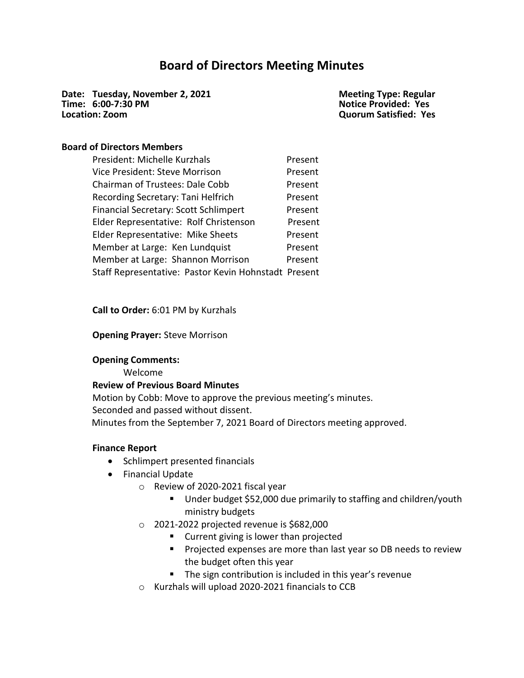# **Board of Directors Meeting Minutes**

**Date: Tuesday, November 2, 2021 Time: 6:00-7:30 PM Location: Zoom**

**Meeting Type: Regular Notice Provided: Yes Quorum Satisfied: Yes**

### **Board of Directors Members**

| President: Michelle Kurzhals                         | Present |
|------------------------------------------------------|---------|
| Vice President: Steve Morrison                       | Present |
| <b>Chairman of Trustees: Dale Cobb</b>               | Present |
| Recording Secretary: Tani Helfrich                   | Present |
| Financial Secretary: Scott Schlimpert                | Present |
| Elder Representative: Rolf Christenson               | Present |
| Elder Representative: Mike Sheets                    | Present |
| Member at Large: Ken Lundquist                       | Present |
| Member at Large: Shannon Morrison                    | Present |
| Staff Representative: Pastor Kevin Hohnstadt Present |         |

**Call to Order:** 6:01 PM by Kurzhals

**Opening Prayer:** Steve Morrison

#### **Opening Comments:**

Welcome

#### **Review of Previous Board Minutes**

Motion by Cobb: Move to approve the previous meeting's minutes. Seconded and passed without dissent. Minutes from the September 7, 2021 Board of Directors meeting approved.

#### **Finance Report**

- Schlimpert presented financials
- Financial Update
	- o Review of 2020-2021 fiscal year
		- Under budget \$52,000 due primarily to staffing and children/youth ministry budgets
	- $\circ$  2021-2022 projected revenue is \$682,000
		- Current giving is lower than projected
		- Projected expenses are more than last year so DB needs to review the budget often this year
		- The sign contribution is included in this year's revenue
	- o Kurzhals will upload 2020-2021 financials to CCB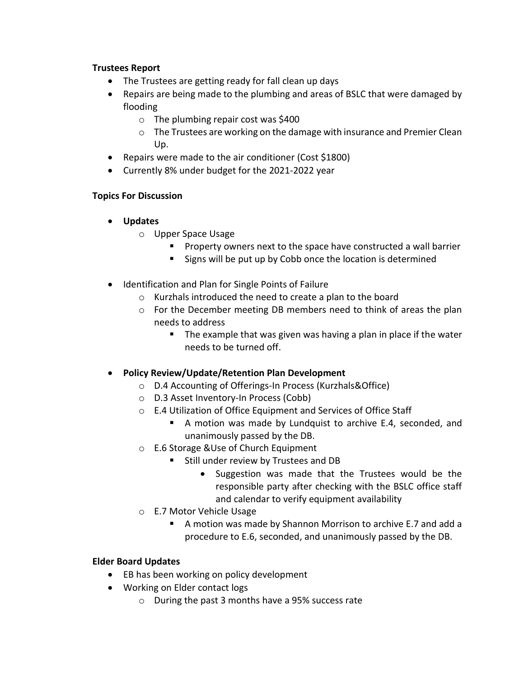# **Trustees Report**

- The Trustees are getting ready for fall clean up days
- Repairs are being made to the plumbing and areas of BSLC that were damaged by flooding
	- $\circ$  The plumbing repair cost was \$400
	- o The Trustees are working on the damage with insurance and Premier Clean Up.
- Repairs were made to the air conditioner (Cost \$1800)
- Currently 8% under budget for the 2021-2022 year

# **Topics For Discussion**

- **Updates**
	- o Upper Space Usage
		- Property owners next to the space have constructed a wall barrier
		- Signs will be put up by Cobb once the location is determined
- Identification and Plan for Single Points of Failure
	- o Kurzhals introduced the need to create a plan to the board
	- o For the December meeting DB members need to think of areas the plan needs to address
		- The example that was given was having a plan in place if the water needs to be turned off.
- **Policy Review/Update/Retention Plan Development**
	- o D.4 Accounting of Offerings-In Process (Kurzhals&Office)
	- o D.3 Asset Inventory-In Process (Cobb)
	- o E.4 Utilization of Office Equipment and Services of Office Staff
		- A motion was made by Lundquist to archive E.4, seconded, and unanimously passed by the DB.
	- o E.6 Storage &Use of Church Equipment
		- Still under review by Trustees and DB
			- Suggestion was made that the Trustees would be the responsible party after checking with the BSLC office staff and calendar to verify equipment availability
	- o E.7 Motor Vehicle Usage
		- A motion was made by Shannon Morrison to archive E.7 and add a procedure to E.6, seconded, and unanimously passed by the DB.

# **Elder Board Updates**

- EB has been working on policy development
- Working on Elder contact logs
	- o During the past 3 months have a 95% success rate